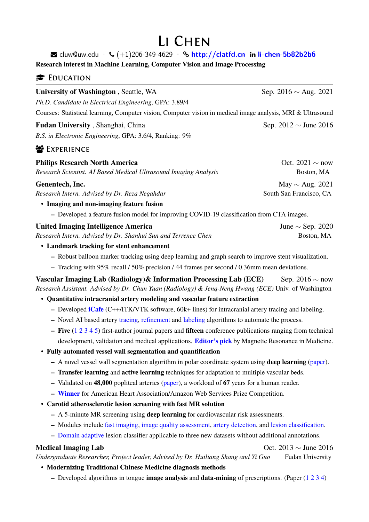# Li Chen

 $\blacktriangleright$  cluw@uw.edu ·  $\blacklozenge$  (+1)206-349-4629 ·  $\blacklozenge$  <http://clatfd.cn> in [li-chen-5b82b2b6](https://www.linkedin.com/in/li-chen-5b82b2b6)

**Research interest in Machine Learning, Computer Vision and Image Processing**

### **EDUCATION**

**University of Washington**, Seattle, WA Sep. 2016  $\sim$  Aug. 2021

*Ph.D. Candidate in Electrical Engineering*, GPA: 3.89/4

Courses: Statistical learning, Computer vision, Computer vision in medical image analysis, MRI & Ultrasound

#### **Fudan University**, Shanghai, China Sep. 2012 *∼* June 2016

*B.S. in Electronic Engineering*, GPA: 3.6/4, Ranking: 9%

## **EXPERIENCE**

| <b>Philips Research North America</b>                            | Oct. 2021 $\sim$ now    |
|------------------------------------------------------------------|-------------------------|
| Research Scientist. AI Based Medical Ultrasound Imaging Analysis | Boston, MA              |
| Genentech, Inc.                                                  | May $\sim$ Aug. 2021    |
| Research Intern. Advised by Dr. Reza Negahdar                    | South San Francisco, CA |
| . There is the common the continue the continue the state of     |                         |

• **Imaging and non-imaging feature fusion**

**–** Developed a feature fusion model for improving COVID-19 classification from CTA images.

United Imaging Intelligence America<br>Research Intern. Advised by Dr. Shanhui Sun and Terrence Chen **Boston, MA** Boston, MA **Research Intern. Advised by Dr. Shanhui Sun and Terrence Chen** 

#### • **Landmark tracking for stent enhancement**

- **–** Robust balloon marker tracking using deep learning and graph search to improve stent visualization.
- **–** Tracking with 95% recall / 50% precision / 44 frames per second / 0.36mm mean deviations.
- **Vascular Imaging Lab (Radiology)& Information Processing Lab (ECE)** Sep. 2016  $\sim$  now *Research Assistant. Advised by Dr. Chun Yuan (Radiology) & Jenq-Neng Hwang (ECE)* Univ. of Washington

### • **Quantitative intracranial artery modeling and vascular feature extraction**

- **–** Developed **[iCafe](http://s.clatfd.cn/icafe)** (C++/ITK/VTK software, 60k+ lines) for intracranial artery tracing and labeling.
- **–** Novel AI based artery [tracing,](https://clatfd.cn/a/337) [refinement](http://clatfd.cn/a/261) and [labeling](http://clatfd.cn/a/302) algorithms to automate the process.
- **– Five** ([1](http://clatfd.cn/a/233) [2](http://clatfd.cn/a/243) [3](http://clatfd.cn/a/248) [4](http://clatfd.cn/a/301) [5](https://www.frontiersin.org/articles/10.3389/fneur.2021.668298/abstract)) first-author journal papers and **fifteen** conference publications ranging from technical development, validation and medical applications. **[Editor's pick](https://blog.ismrm.org/2018/06/29/qa-with-li-chen-and-chun-yuan/)** by Magnetic Resonance in Medicine.

### • **Fully automated vessel wall segmentation and quantification**

- **–** A novel vessel wall segmentation algorithm in polar coordinate system using **deep learning** ([paper\)](http://clatfd.cn/a/289).
- **– Transfer learning** and **active learning** techniques for adaptation to multiple vascular beds.
- **–** Validated on **48,000** popliteal arteries ([paper](http://clatfd.cn/a/282)), a workload of **67** years for a human reader.
- **– [Winner](https://newsroom.heart.org/news/seattle-scientist-wins-competition-for-artificial-intelligence-research)** for American Heart Association/Amazon Web Services Prize Competition.
- **Carotid atherosclerotic lesion screening with fast MR solution**
	- **–** A 5-minute MR screening using **deep learning** for cardiovascular risk assessments.
	- **–** Modules include [fast imaging](https://onlinelibrary.wiley.com/doi/full/10.1002/mrm.22642), [image quality assessment,](http://clatfd.cn/a/293) [artery detection](http://clatfd.cn/a/289), and [lesion classification.](http://clatfd.cn/a/296)
	- **–** [Domain adaptive](http://clatfd.cn/a/116) lesion classifier applicable to three new datasets without additional annotations.

Medical Imaging Lab<br>*Undergraduate Researcher, Project leader, Advised by Dr. Huiliang Shang and Yi Guo* Fudan University *Undergraduate Researcher, Project leader, Advised by Dr. Huiliang Shang and Yi Guo* 

- **Modernizing Traditional Chinese Medicine diagnosis methods**
	- **–** Developed algorithms in tongue **image analysis** and **data-mining** of prescriptions. (Paper [\(1](http://clatfd.cn/a/116) [2](http://clatfd.cn/a/117) [3](http://clatfd.cn/a/118) [4](http://clatfd.cn/a/123))